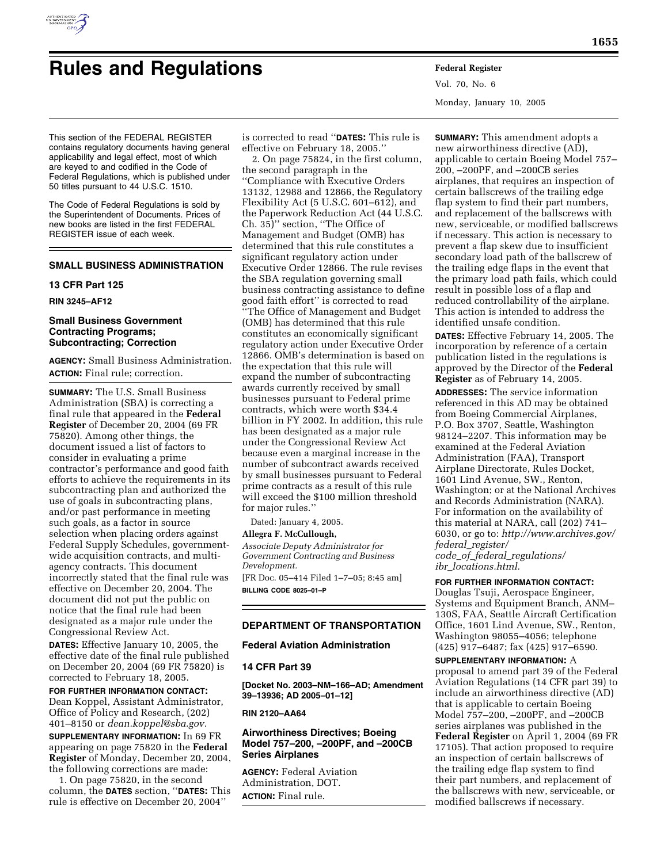

# **Rules and Regulations Federal Register**

Vol. 70, No. 6 Monday, January 10, 2005

This section of the FEDERAL REGISTER contains regulatory documents having general applicability and legal effect, most of which are keyed to and codified in the Code of Federal Regulations, which is published under 50 titles pursuant to 44 U.S.C. 1510.

The Code of Federal Regulations is sold by the Superintendent of Documents. Prices of new books are listed in the first FEDERAL REGISTER issue of each week.

# **SMALL BUSINESS ADMINISTRATION**

# **13 CFR Part 125**

# **RIN 3245–AF12**

# **Small Business Government Contracting Programs; Subcontracting; Correction**

**AGENCY:** Small Business Administration. **ACTION:** Final rule; correction.

**SUMMARY:** The U.S. Small Business Administration (SBA) is correcting a final rule that appeared in the **Federal Register** of December 20, 2004 (69 FR 75820). Among other things, the document issued a list of factors to consider in evaluating a prime contractor's performance and good faith efforts to achieve the requirements in its subcontracting plan and authorized the use of goals in subcontracting plans, and/or past performance in meeting such goals, as a factor in source selection when placing orders against Federal Supply Schedules, governmentwide acquisition contracts, and multiagency contracts. This document incorrectly stated that the final rule was effective on December 20, 2004. The document did not put the public on notice that the final rule had been designated as a major rule under the Congressional Review Act.

**DATES:** Effective January 10, 2005, the effective date of the final rule published on December 20, 2004 (69 FR 75820) is corrected to February 18, 2005.

**FOR FURTHER INFORMATION CONTACT:** Dean Koppel, Assistant Administrator, Office of Policy and Research, (202) 401–8150 or *dean.koppel@sba.gov.*

**SUPPLEMENTARY INFORMATION:** In 69 FR appearing on page 75820 in the **Federal Register** of Monday, December 20, 2004, the following corrections are made:

1. On page 75820, in the second column, the **DATES** section, ''**DATES:** This rule is effective on December 20, 2004''

is corrected to read ''**DATES:** This rule is effective on February 18, 2005.''

2. On page 75824, in the first column, the second paragraph in the ''Compliance with Executive Orders 13132, 12988 and 12866, the Regulatory Flexibility Act (5 U.S.C. 601–612), and the Paperwork Reduction Act (44 U.S.C. Ch. 35)'' section, ''The Office of Management and Budget (OMB) has determined that this rule constitutes a significant regulatory action under Executive Order 12866. The rule revises the SBA regulation governing small business contracting assistance to define good faith effort'' is corrected to read ''The Office of Management and Budget (OMB) has determined that this rule constitutes an economically significant regulatory action under Executive Order 12866. OMB's determination is based on the expectation that this rule will expand the number of subcontracting awards currently received by small businesses pursuant to Federal prime contracts, which were worth \$34.4 billion in FY 2002. In addition, this rule has been designated as a major rule under the Congressional Review Act because even a marginal increase in the number of subcontract awards received by small businesses pursuant to Federal prime contracts as a result of this rule will exceed the \$100 million threshold for major rules.''

Dated: January 4, 2005.

#### **Allegra F. McCullough,**

*Associate Deputy Administrator for Government Contracting and Business Development.*

[FR Doc. 05–414 Filed 1–7–05; 8:45 am] **BILLING CODE 8025–01–P**

# **DEPARTMENT OF TRANSPORTATION**

# **Federal Aviation Administration**

# **14 CFR Part 39**

**[Docket No. 2003–NM–166–AD; Amendment 39–13936; AD 2005–01–12]** 

**RIN 2120–AA64** 

# **Airworthiness Directives; Boeing Model 757–200, –200PF, and –200CB Series Airplanes**

**AGENCY:** Federal Aviation Administration, DOT. **ACTION:** Final rule.

**SUMMARY:** This amendment adopts a new airworthiness directive (AD), applicable to certain Boeing Model 757– 200, –200PF, and –200CB series airplanes, that requires an inspection of certain ballscrews of the trailing edge flap system to find their part numbers, and replacement of the ballscrews with new, serviceable, or modified ballscrews if necessary. This action is necessary to prevent a flap skew due to insufficient secondary load path of the ballscrew of the trailing edge flaps in the event that the primary load path fails, which could result in possible loss of a flap and reduced controllability of the airplane. This action is intended to address the identified unsafe condition.

**DATES:** Effective February 14, 2005. The incorporation by reference of a certain publication listed in the regulations is approved by the Director of the **Federal Register** as of February 14, 2005.

**ADDRESSES:** The service information referenced in this AD may be obtained from Boeing Commercial Airplanes, P.O. Box 3707, Seattle, Washington 98124–2207. This information may be examined at the Federal Aviation Administration (FAA), Transport Airplane Directorate, Rules Docket, 1601 Lind Avenue, SW., Renton, Washington; or at the National Archives and Records Administration (NARA). For information on the availability of this material at NARA, call (202) 741– 6030, or go to: *http://www.archives.gov/ federal*\_*register/ code*\_*of*\_*federal*\_*regulations/ ibr*\_*locations.html.*

# **FOR FURTHER INFORMATION CONTACT:**

Douglas Tsuji, Aerospace Engineer, Systems and Equipment Branch, ANM– 130S, FAA, Seattle Aircraft Certification Office, 1601 Lind Avenue, SW., Renton, Washington 98055–4056; telephone (425) 917–6487; fax (425) 917–6590.

## **SUPPLEMENTARY INFORMATION:** A

proposal to amend part 39 of the Federal Aviation Regulations (14 CFR part 39) to include an airworthiness directive (AD) that is applicable to certain Boeing Model 757–200, –200PF, and –200CB series airplanes was published in the **Federal Register** on April 1, 2004 (69 FR 17105). That action proposed to require an inspection of certain ballscrews of the trailing edge flap system to find their part numbers, and replacement of the ballscrews with new, serviceable, or modified ballscrews if necessary.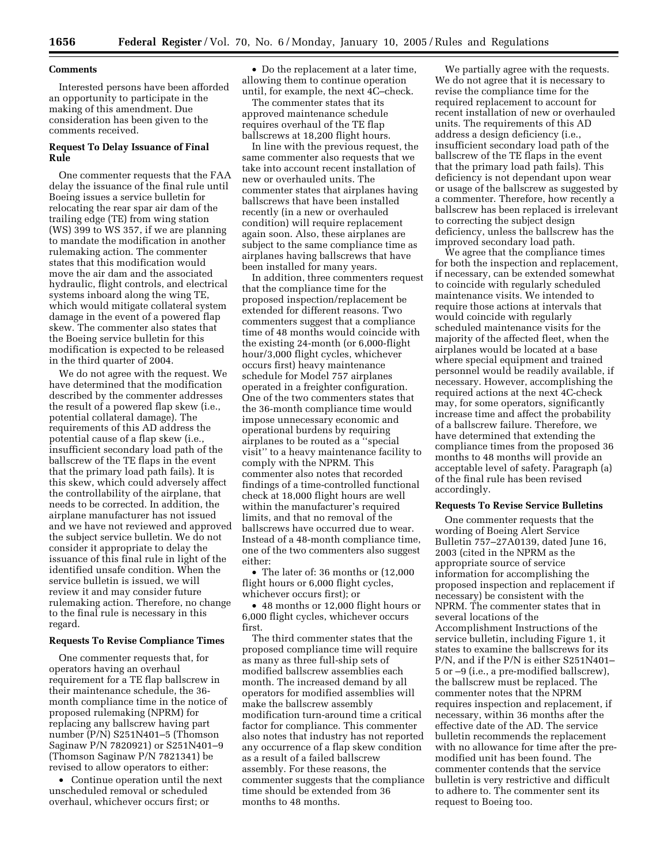#### **Comments**

Interested persons have been afforded an opportunity to participate in the making of this amendment. Due consideration has been given to the comments received.

# **Request To Delay Issuance of Final Rule**

One commenter requests that the FAA delay the issuance of the final rule until Boeing issues a service bulletin for relocating the rear spar air dam of the trailing edge (TE) from wing station (WS) 399 to WS 357, if we are planning to mandate the modification in another rulemaking action. The commenter states that this modification would move the air dam and the associated hydraulic, flight controls, and electrical systems inboard along the wing TE, which would mitigate collateral system damage in the event of a powered flap skew. The commenter also states that the Boeing service bulletin for this modification is expected to be released in the third quarter of 2004.

We do not agree with the request. We have determined that the modification described by the commenter addresses the result of a powered flap skew (i.e., potential collateral damage). The requirements of this AD address the potential cause of a flap skew (i.e., insufficient secondary load path of the ballscrew of the TE flaps in the event that the primary load path fails). It is this skew, which could adversely affect the controllability of the airplane, that needs to be corrected. In addition, the airplane manufacturer has not issued and we have not reviewed and approved the subject service bulletin. We do not consider it appropriate to delay the issuance of this final rule in light of the identified unsafe condition. When the service bulletin is issued, we will review it and may consider future rulemaking action. Therefore, no change to the final rule is necessary in this regard.

#### **Requests To Revise Compliance Times**

One commenter requests that, for operators having an overhaul requirement for a TE flap ballscrew in their maintenance schedule, the 36 month compliance time in the notice of proposed rulemaking (NPRM) for replacing any ballscrew having part number (P/N) S251N401–5 (Thomson Saginaw P/N 7820921) or S251N401–9 (Thomson Saginaw P/N 7821341) be revised to allow operators to either:

• Continue operation until the next unscheduled removal or scheduled overhaul, whichever occurs first; or

• Do the replacement at a later time, allowing them to continue operation until, for example, the next 4C–check.

The commenter states that its approved maintenance schedule requires overhaul of the TE flap ballscrews at 18,200 flight hours.

In line with the previous request, the same commenter also requests that we take into account recent installation of new or overhauled units. The commenter states that airplanes having ballscrews that have been installed recently (in a new or overhauled condition) will require replacement again soon. Also, these airplanes are subject to the same compliance time as airplanes having ballscrews that have been installed for many years.

In addition, three commenters request that the compliance time for the proposed inspection/replacement be extended for different reasons. Two commenters suggest that a compliance time of 48 months would coincide with the existing 24-month (or 6,000-flight hour/3,000 flight cycles, whichever occurs first) heavy maintenance schedule for Model 757 airplanes operated in a freighter configuration. One of the two commenters states that the 36-month compliance time would impose unnecessary economic and operational burdens by requiring airplanes to be routed as a ''special visit'' to a heavy maintenance facility to comply with the NPRM. This commenter also notes that recorded findings of a time-controlled functional check at 18,000 flight hours are well within the manufacturer's required limits, and that no removal of the ballscrews have occurred due to wear. Instead of a 48-month compliance time, one of the two commenters also suggest either:

• The later of: 36 months or  $(12,000)$ flight hours or 6,000 flight cycles, whichever occurs first); or

• 48 months or 12,000 flight hours or 6,000 flight cycles, whichever occurs first.

The third commenter states that the proposed compliance time will require as many as three full-ship sets of modified ballscrew assemblies each month. The increased demand by all operators for modified assemblies will make the ballscrew assembly modification turn-around time a critical factor for compliance. This commenter also notes that industry has not reported any occurrence of a flap skew condition as a result of a failed ballscrew assembly. For these reasons, the commenter suggests that the compliance time should be extended from 36 months to 48 months.

We partially agree with the requests. We do not agree that it is necessary to revise the compliance time for the required replacement to account for recent installation of new or overhauled units. The requirements of this AD address a design deficiency (i.e., insufficient secondary load path of the ballscrew of the TE flaps in the event that the primary load path fails). This deficiency is not dependant upon wear or usage of the ballscrew as suggested by a commenter. Therefore, how recently a ballscrew has been replaced is irrelevant to correcting the subject design deficiency, unless the ballscrew has the improved secondary load path.

We agree that the compliance times for both the inspection and replacement, if necessary, can be extended somewhat to coincide with regularly scheduled maintenance visits. We intended to require those actions at intervals that would coincide with regularly scheduled maintenance visits for the majority of the affected fleet, when the airplanes would be located at a base where special equipment and trained personnel would be readily available, if necessary. However, accomplishing the required actions at the next 4C-check may, for some operators, significantly increase time and affect the probability of a ballscrew failure. Therefore, we have determined that extending the compliance times from the proposed 36 months to 48 months will provide an acceptable level of safety. Paragraph (a) of the final rule has been revised accordingly.

#### **Requests To Revise Service Bulletins**

One commenter requests that the wording of Boeing Alert Service Bulletin 757–27A0139, dated June 16, 2003 (cited in the NPRM as the appropriate source of service information for accomplishing the proposed inspection and replacement if necessary) be consistent with the NPRM. The commenter states that in several locations of the Accomplishment Instructions of the service bulletin, including Figure 1, it states to examine the ballscrews for its P/N, and if the P/N is either S251N401– 5 or –9 (i.e., a pre-modified ballscrew), the ballscrew must be replaced. The commenter notes that the NPRM requires inspection and replacement, if necessary, within 36 months after the effective date of the AD. The service bulletin recommends the replacement with no allowance for time after the premodified unit has been found. The commenter contends that the service bulletin is very restrictive and difficult to adhere to. The commenter sent its request to Boeing too.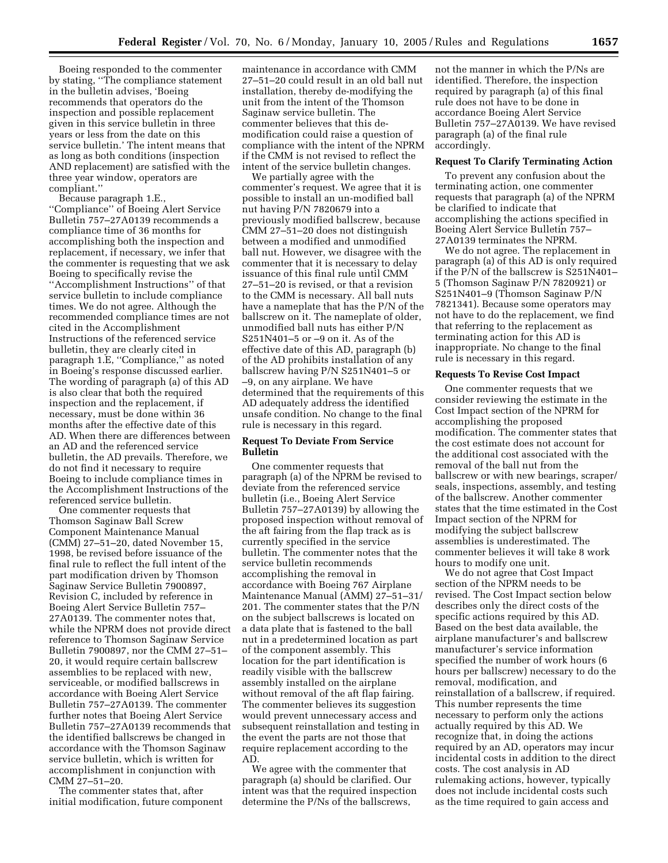Boeing responded to the commenter by stating, ''The compliance statement in the bulletin advises, 'Boeing recommends that operators do the inspection and possible replacement given in this service bulletin in three years or less from the date on this service bulletin.' The intent means that as long as both conditions (inspection AND replacement) are satisfied with the three year window, operators are compliant.''

Because paragraph 1.E., ''Compliance'' of Boeing Alert Service Bulletin 757–27A0139 recommends a compliance time of 36 months for accomplishing both the inspection and replacement, if necessary, we infer that the commenter is requesting that we ask Boeing to specifically revise the ''Accomplishment Instructions'' of that service bulletin to include compliance times. We do not agree. Although the recommended compliance times are not cited in the Accomplishment Instructions of the referenced service bulletin, they are clearly cited in paragraph 1.E, "Compliance," as noted in Boeing's response discussed earlier. The wording of paragraph (a) of this AD is also clear that both the required inspection and the replacement, if necessary, must be done within 36 months after the effective date of this AD. When there are differences between an AD and the referenced service bulletin, the AD prevails. Therefore, we do not find it necessary to require Boeing to include compliance times in the Accomplishment Instructions of the referenced service bulletin.

One commenter requests that Thomson Saginaw Ball Screw Component Maintenance Manual (CMM) 27–51–20, dated November 15, 1998, be revised before issuance of the final rule to reflect the full intent of the part modification driven by Thomson Saginaw Service Bulletin 7900897, Revision C, included by reference in Boeing Alert Service Bulletin 757– 27A0139. The commenter notes that, while the NPRM does not provide direct reference to Thomson Saginaw Service Bulletin 7900897, nor the CMM 27–51– 20, it would require certain ballscrew assemblies to be replaced with new, serviceable, or modified ballscrews in accordance with Boeing Alert Service Bulletin 757–27A0139. The commenter further notes that Boeing Alert Service Bulletin 757–27A0139 recommends that the identified ballscrews be changed in accordance with the Thomson Saginaw service bulletin, which is written for accomplishment in conjunction with CMM 27–51–20.

The commenter states that, after initial modification, future component

maintenance in accordance with CMM 27–51–20 could result in an old ball nut installation, thereby de-modifying the unit from the intent of the Thomson Saginaw service bulletin. The commenter believes that this demodification could raise a question of compliance with the intent of the NPRM if the CMM is not revised to reflect the intent of the service bulletin changes.

We partially agree with the commenter's request. We agree that it is possible to install an un-modified ball nut having P/N 7820679 into a previously modified ballscrew, because CMM 27–51–20 does not distinguish between a modified and unmodified ball nut. However, we disagree with the commenter that it is necessary to delay issuance of this final rule until CMM 27–51–20 is revised, or that a revision to the CMM is necessary. All ball nuts have a nameplate that has the P/N of the ballscrew on it. The nameplate of older, unmodified ball nuts has either P/N S251N401–5 or –9 on it. As of the effective date of this AD, paragraph (b) of the AD prohibits installation of any ballscrew having P/N S251N401–5 or –9, on any airplane. We have determined that the requirements of this AD adequately address the identified unsafe condition. No change to the final rule is necessary in this regard.

# **Request To Deviate From Service Bulletin**

One commenter requests that paragraph (a) of the NPRM be revised to deviate from the referenced service bulletin (i.e., Boeing Alert Service Bulletin 757–27A0139) by allowing the proposed inspection without removal of the aft fairing from the flap track as is currently specified in the service bulletin. The commenter notes that the service bulletin recommends accomplishing the removal in accordance with Boeing 767 Airplane Maintenance Manual (AMM) 27–51–31/ 201. The commenter states that the P/N on the subject ballscrews is located on a data plate that is fastened to the ball nut in a predetermined location as part of the component assembly. This location for the part identification is readily visible with the ballscrew assembly installed on the airplane without removal of the aft flap fairing. The commenter believes its suggestion would prevent unnecessary access and subsequent reinstallation and testing in the event the parts are not those that require replacement according to the AD.

We agree with the commenter that paragraph (a) should be clarified. Our intent was that the required inspection determine the P/Ns of the ballscrews,

not the manner in which the P/Ns are identified. Therefore, the inspection required by paragraph (a) of this final rule does not have to be done in accordance Boeing Alert Service Bulletin 757–27A0139. We have revised paragraph (a) of the final rule accordingly.

#### **Request To Clarify Terminating Action**

To prevent any confusion about the terminating action, one commenter requests that paragraph (a) of the NPRM be clarified to indicate that accomplishing the actions specified in Boeing Alert Service Bulletin 757– 27A0139 terminates the NPRM.

We do not agree. The replacement in paragraph (a) of this AD is only required if the P/N of the ballscrew is S251N401– 5 (Thomson Saginaw P/N 7820921) or S251N401–9 (Thomson Saginaw P/N 7821341). Because some operators may not have to do the replacement, we find that referring to the replacement as terminating action for this AD is inappropriate. No change to the final rule is necessary in this regard.

### **Requests To Revise Cost Impact**

One commenter requests that we consider reviewing the estimate in the Cost Impact section of the NPRM for accomplishing the proposed modification. The commenter states that the cost estimate does not account for the additional cost associated with the removal of the ball nut from the ballscrew or with new bearings, scraper/ seals, inspections, assembly, and testing of the ballscrew. Another commenter states that the time estimated in the Cost Impact section of the NPRM for modifying the subject ballscrew assemblies is underestimated. The commenter believes it will take 8 work hours to modify one unit.

We do not agree that Cost Impact section of the NPRM needs to be revised. The Cost Impact section below describes only the direct costs of the specific actions required by this AD. Based on the best data available, the airplane manufacturer's and ballscrew manufacturer's service information specified the number of work hours (6 hours per ballscrew) necessary to do the removal, modification, and reinstallation of a ballscrew, if required. This number represents the time necessary to perform only the actions actually required by this AD. We recognize that, in doing the actions required by an AD, operators may incur incidental costs in addition to the direct costs. The cost analysis in AD rulemaking actions, however, typically does not include incidental costs such as the time required to gain access and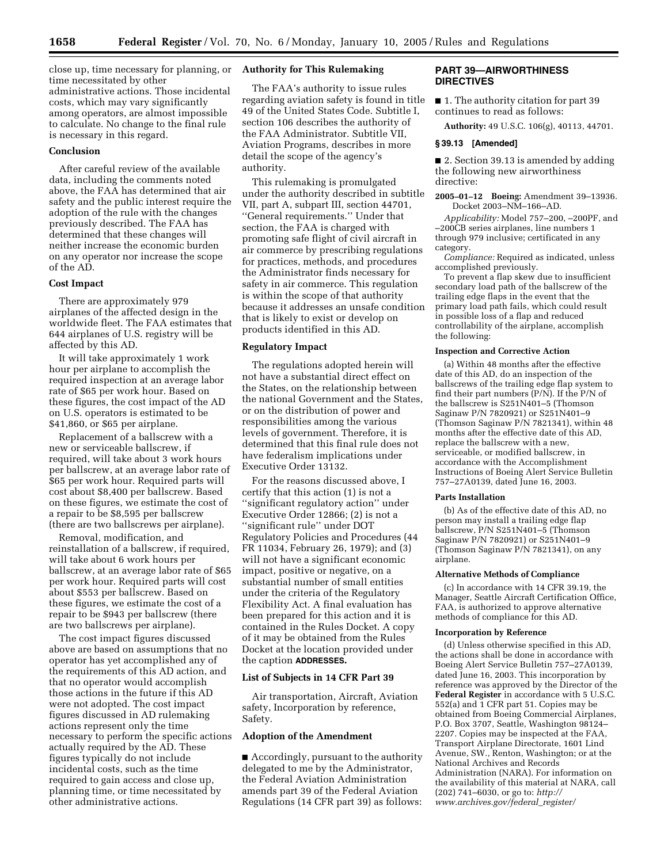close up, time necessary for planning, or time necessitated by other administrative actions. Those incidental costs, which may vary significantly among operators, are almost impossible to calculate. No change to the final rule is necessary in this regard.

# **Conclusion**

After careful review of the available data, including the comments noted above, the FAA has determined that air safety and the public interest require the adoption of the rule with the changes previously described. The FAA has determined that these changes will neither increase the economic burden on any operator nor increase the scope of the AD.

#### **Cost Impact**

There are approximately 979 airplanes of the affected design in the worldwide fleet. The FAA estimates that 644 airplanes of U.S. registry will be affected by this AD.

It will take approximately 1 work hour per airplane to accomplish the required inspection at an average labor rate of \$65 per work hour. Based on these figures, the cost impact of the AD on U.S. operators is estimated to be \$41,860, or \$65 per airplane.

Replacement of a ballscrew with a new or serviceable ballscrew, if required, will take about 3 work hours per ballscrew, at an average labor rate of \$65 per work hour. Required parts will cost about \$8,400 per ballscrew. Based on these figures, we estimate the cost of a repair to be \$8,595 per ballscrew (there are two ballscrews per airplane).

Removal, modification, and reinstallation of a ballscrew, if required, will take about 6 work hours per ballscrew, at an average labor rate of \$65 per work hour. Required parts will cost about \$553 per ballscrew. Based on these figures, we estimate the cost of a repair to be \$943 per ballscrew (there are two ballscrews per airplane).

The cost impact figures discussed above are based on assumptions that no operator has yet accomplished any of the requirements of this AD action, and that no operator would accomplish those actions in the future if this AD were not adopted. The cost impact figures discussed in AD rulemaking actions represent only the time necessary to perform the specific actions actually required by the AD. These figures typically do not include incidental costs, such as the time required to gain access and close up, planning time, or time necessitated by other administrative actions.

# **Authority for This Rulemaking**

The FAA's authority to issue rules regarding aviation safety is found in title 49 of the United States Code. Subtitle I, section 106 describes the authority of the FAA Administrator. Subtitle VII, Aviation Programs, describes in more detail the scope of the agency's authority.

This rulemaking is promulgated under the authority described in subtitle VII, part A, subpart III, section 44701, ''General requirements.'' Under that section, the FAA is charged with promoting safe flight of civil aircraft in air commerce by prescribing regulations for practices, methods, and procedures the Administrator finds necessary for safety in air commerce. This regulation is within the scope of that authority because it addresses an unsafe condition that is likely to exist or develop on products identified in this AD.

# **Regulatory Impact**

The regulations adopted herein will not have a substantial direct effect on the States, on the relationship between the national Government and the States, or on the distribution of power and responsibilities among the various levels of government. Therefore, it is determined that this final rule does not have federalism implications under Executive Order 13132.

For the reasons discussed above, I certify that this action (1) is not a ''significant regulatory action'' under Executive Order 12866; (2) is not a ''significant rule'' under DOT Regulatory Policies and Procedures (44 FR 11034, February 26, 1979); and (3) will not have a significant economic impact, positive or negative, on a substantial number of small entities under the criteria of the Regulatory Flexibility Act. A final evaluation has been prepared for this action and it is contained in the Rules Docket. A copy of it may be obtained from the Rules Docket at the location provided under the caption **ADDRESSES.**

#### **List of Subjects in 14 CFR Part 39**

Air transportation, Aircraft, Aviation safety, Incorporation by reference, Safety.

# **Adoption of the Amendment**

■ Accordingly, pursuant to the authority delegated to me by the Administrator, the Federal Aviation Administration amends part 39 of the Federal Aviation Regulations (14 CFR part 39) as follows:

# **PART 39—AIRWORTHINESS DIRECTIVES**

■ 1. The authority citation for part 39 continues to read as follows:

**Authority:** 49 U.S.C. 106(g), 40113, 44701.

# **§ 39.13 [Amended]**

■ 2. Section 39.13 is amended by adding the following new airworthiness directive:

**2005–01–12 Boeing:** Amendment 39–13936. Docket 2003–NM–166–AD.

*Applicability:* Model 757–200, –200PF, and –200CB series airplanes, line numbers 1 through 979 inclusive; certificated in any category.

*Compliance:* Required as indicated, unless accomplished previously.

To prevent a flap skew due to insufficient secondary load path of the ballscrew of the trailing edge flaps in the event that the primary load path fails, which could result in possible loss of a flap and reduced controllability of the airplane, accomplish the following:

#### **Inspection and Corrective Action**

(a) Within 48 months after the effective date of this AD, do an inspection of the ballscrews of the trailing edge flap system to find their part numbers  $(P/N)$ . If the  $P/N$  of the ballscrew is S251N401–5 (Thomson Saginaw P/N 7820921) or S251N401–9 (Thomson Saginaw P/N 7821341), within 48 months after the effective date of this AD, replace the ballscrew with a new, serviceable, or modified ballscrew, in accordance with the Accomplishment Instructions of Boeing Alert Service Bulletin 757–27A0139, dated June 16, 2003.

#### **Parts Installation**

(b) As of the effective date of this AD, no person may install a trailing edge flap ballscrew, P/N S251N401–5 (Thomson Saginaw P/N 7820921) or S251N401–9 (Thomson Saginaw P/N 7821341), on any airplane.

#### **Alternative Methods of Compliance**

(c) In accordance with 14 CFR 39.19, the Manager, Seattle Aircraft Certification Office, FAA, is authorized to approve alternative methods of compliance for this AD.

#### **Incorporation by Reference**

(d) Unless otherwise specified in this AD, the actions shall be done in accordance with Boeing Alert Service Bulletin 757–27A0139, dated June 16, 2003. This incorporation by reference was approved by the Director of the **Federal Register** in accordance with 5 U.S.C. 552(a) and 1 CFR part 51. Copies may be obtained from Boeing Commercial Airplanes, P.O. Box 3707, Seattle, Washington 98124– 2207. Copies may be inspected at the FAA, Transport Airplane Directorate, 1601 Lind Avenue, SW., Renton, Washington; or at the National Archives and Records Administration (NARA). For information on the availability of this material at NARA, call (202) 741–6030, or go to: *http:// www.archives.gov/federal*\_*register/*